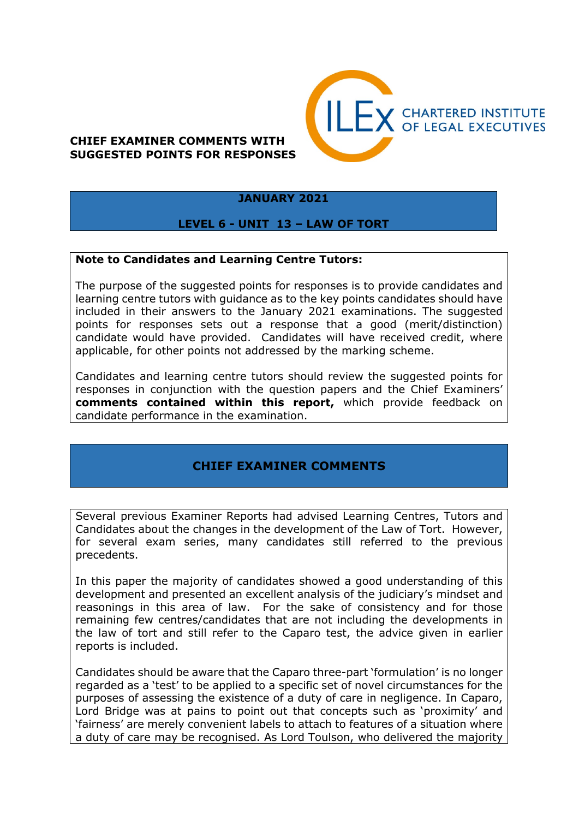# **CHIEF EXAMINER COMMENTS WITH SUGGESTED POINTS FOR RESPONSES**



#### **JANUARY 2021**

## **LEVEL 6 - UNIT 13 – LAW OF TORT**

#### **Note to Candidates and Learning Centre Tutors:**

The purpose of the suggested points for responses is to provide candidates and learning centre tutors with guidance as to the key points candidates should have included in their answers to the January 2021 examinations. The suggested points for responses sets out a response that a good (merit/distinction) candidate would have provided. Candidates will have received credit, where applicable, for other points not addressed by the marking scheme.

Candidates and learning centre tutors should review the suggested points for responses in conjunction with the question papers and the Chief Examiners' **comments contained within this report,** which provide feedback on candidate performance in the examination.

# **CHIEF EXAMINER COMMENTS**

Several previous Examiner Reports had advised Learning Centres, Tutors and Candidates about the changes in the development of the Law of Tort. However, for several exam series, many candidates still referred to the previous precedents.

In this paper the majority of candidates showed a good understanding of this development and presented an excellent analysis of the judiciary's mindset and reasonings in this area of law. For the sake of consistency and for those remaining few centres/candidates that are not including the developments in the law of tort and still refer to the Caparo test, the advice given in earlier reports is included.

Candidates should be aware that the Caparo three-part 'formulation' is no longer regarded as a 'test' to be applied to a specific set of novel circumstances for the purposes of assessing the existence of a duty of care in negligence. In Caparo, Lord Bridge was at pains to point out that concepts such as 'proximity' and 'fairness' are merely convenient labels to attach to features of a situation where a duty of care may be recognised. As Lord Toulson, who delivered the majority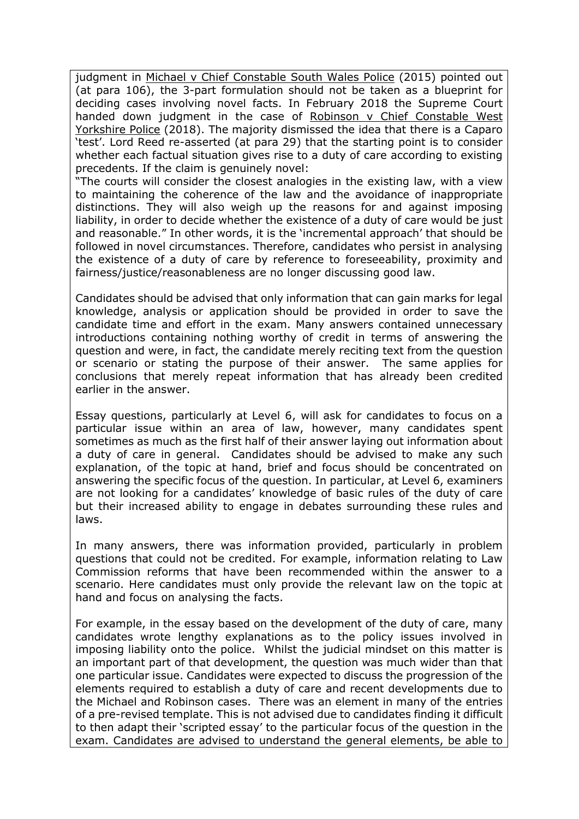judgment in Michael v Chief Constable South Wales Police (2015) pointed out (at para 106), the 3-part formulation should not be taken as a blueprint for deciding cases involving novel facts. In February 2018 the Supreme Court handed down judgment in the case of Robinson v Chief Constable West Yorkshire Police (2018). The majority dismissed the idea that there is a Caparo 'test'. Lord Reed re-asserted (at para 29) that the starting point is to consider whether each factual situation gives rise to a duty of care according to existing precedents. If the claim is genuinely novel:

"The courts will consider the closest analogies in the existing law, with a view to maintaining the coherence of the law and the avoidance of inappropriate distinctions. They will also weigh up the reasons for and against imposing liability, in order to decide whether the existence of a duty of care would be just and reasonable." In other words, it is the 'incremental approach' that should be followed in novel circumstances. Therefore, candidates who persist in analysing the existence of a duty of care by reference to foreseeability, proximity and fairness/justice/reasonableness are no longer discussing good law.

Candidates should be advised that only information that can gain marks for legal knowledge, analysis or application should be provided in order to save the candidate time and effort in the exam. Many answers contained unnecessary introductions containing nothing worthy of credit in terms of answering the question and were, in fact, the candidate merely reciting text from the question or scenario or stating the purpose of their answer. The same applies for conclusions that merely repeat information that has already been credited earlier in the answer.

Essay questions, particularly at Level 6, will ask for candidates to focus on a particular issue within an area of law, however, many candidates spent sometimes as much as the first half of their answer laying out information about a duty of care in general. Candidates should be advised to make any such explanation, of the topic at hand, brief and focus should be concentrated on answering the specific focus of the question. In particular, at Level 6, examiners are not looking for a candidates' knowledge of basic rules of the duty of care but their increased ability to engage in debates surrounding these rules and laws.

In many answers, there was information provided, particularly in problem questions that could not be credited. For example, information relating to Law Commission reforms that have been recommended within the answer to a scenario. Here candidates must only provide the relevant law on the topic at hand and focus on analysing the facts.

For example, in the essay based on the development of the duty of care, many candidates wrote lengthy explanations as to the policy issues involved in imposing liability onto the police. Whilst the judicial mindset on this matter is an important part of that development, the question was much wider than that one particular issue. Candidates were expected to discuss the progression of the elements required to establish a duty of care and recent developments due to the Michael and Robinson cases. There was an element in many of the entries of a pre-revised template. This is not advised due to candidates finding it difficult to then adapt their 'scripted essay' to the particular focus of the question in the exam. Candidates are advised to understand the general elements, be able to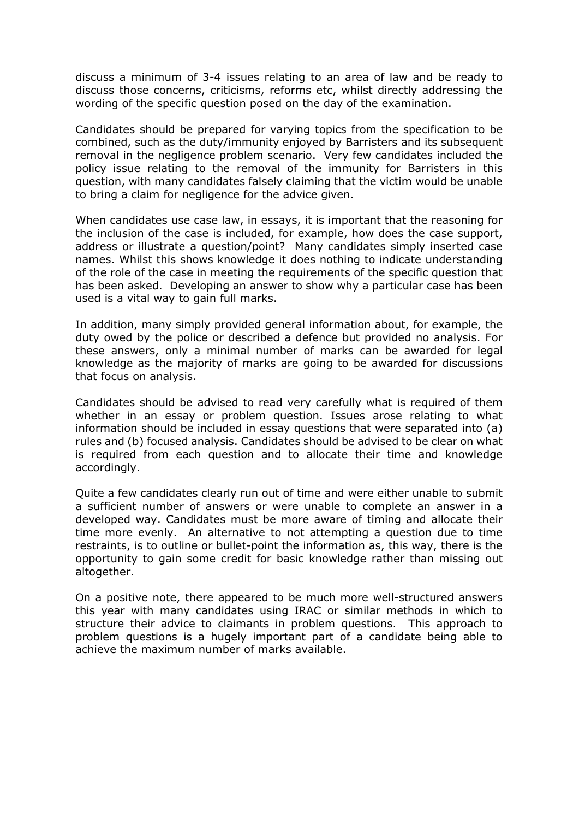discuss a minimum of 3-4 issues relating to an area of law and be ready to discuss those concerns, criticisms, reforms etc, whilst directly addressing the wording of the specific question posed on the day of the examination.

Candidates should be prepared for varying topics from the specification to be combined, such as the duty/immunity enjoyed by Barristers and its subsequent removal in the negligence problem scenario. Very few candidates included the policy issue relating to the removal of the immunity for Barristers in this question, with many candidates falsely claiming that the victim would be unable to bring a claim for negligence for the advice given.

When candidates use case law, in essays, it is important that the reasoning for the inclusion of the case is included, for example, how does the case support, address or illustrate a question/point? Many candidates simply inserted case names. Whilst this shows knowledge it does nothing to indicate understanding of the role of the case in meeting the requirements of the specific question that has been asked. Developing an answer to show why a particular case has been used is a vital way to gain full marks.

In addition, many simply provided general information about, for example, the duty owed by the police or described a defence but provided no analysis. For these answers, only a minimal number of marks can be awarded for legal knowledge as the majority of marks are going to be awarded for discussions that focus on analysis.

Candidates should be advised to read very carefully what is required of them whether in an essay or problem question. Issues arose relating to what information should be included in essay questions that were separated into (a) rules and (b) focused analysis. Candidates should be advised to be clear on what is required from each question and to allocate their time and knowledge accordingly.

Quite a few candidates clearly run out of time and were either unable to submit a sufficient number of answers or were unable to complete an answer in a developed way. Candidates must be more aware of timing and allocate their time more evenly. An alternative to not attempting a question due to time restraints, is to outline or bullet-point the information as, this way, there is the opportunity to gain some credit for basic knowledge rather than missing out altogether.

On a positive note, there appeared to be much more well-structured answers this year with many candidates using IRAC or similar methods in which to structure their advice to claimants in problem questions. This approach to problem questions is a hugely important part of a candidate being able to achieve the maximum number of marks available.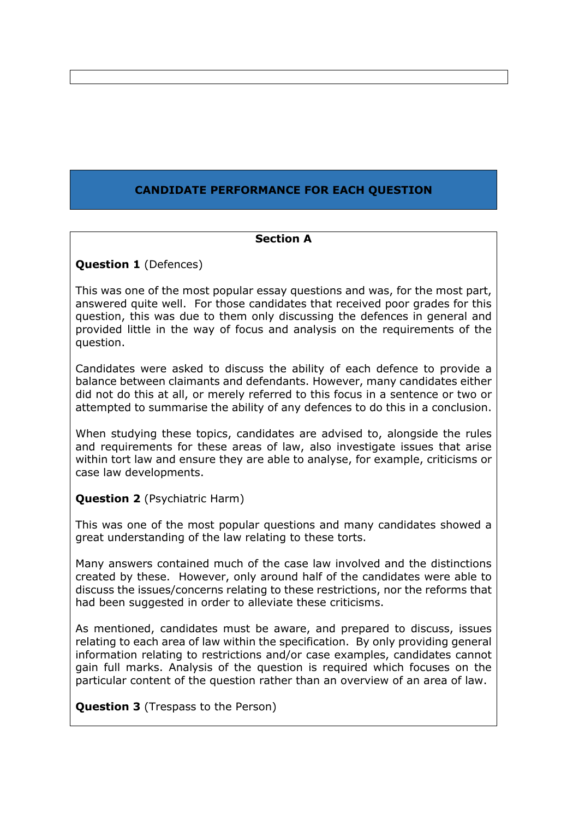# **CANDIDATE PERFORMANCE FOR EACH QUESTION**

## **Section A**

**Question 1** (Defences)

This was one of the most popular essay questions and was, for the most part, answered quite well. For those candidates that received poor grades for this question, this was due to them only discussing the defences in general and provided little in the way of focus and analysis on the requirements of the question.

Candidates were asked to discuss the ability of each defence to provide a balance between claimants and defendants. However, many candidates either did not do this at all, or merely referred to this focus in a sentence or two or attempted to summarise the ability of any defences to do this in a conclusion.

When studying these topics, candidates are advised to, alongside the rules and requirements for these areas of law, also investigate issues that arise within tort law and ensure they are able to analyse, for example, criticisms or case law developments.

**Question 2** (Psychiatric Harm)

This was one of the most popular questions and many candidates showed a great understanding of the law relating to these torts.

Many answers contained much of the case law involved and the distinctions created by these. However, only around half of the candidates were able to discuss the issues/concerns relating to these restrictions, nor the reforms that had been suggested in order to alleviate these criticisms.

As mentioned, candidates must be aware, and prepared to discuss, issues relating to each area of law within the specification. By only providing general information relating to restrictions and/or case examples, candidates cannot gain full marks. Analysis of the question is required which focuses on the particular content of the question rather than an overview of an area of law.

**Question 3** (Trespass to the Person)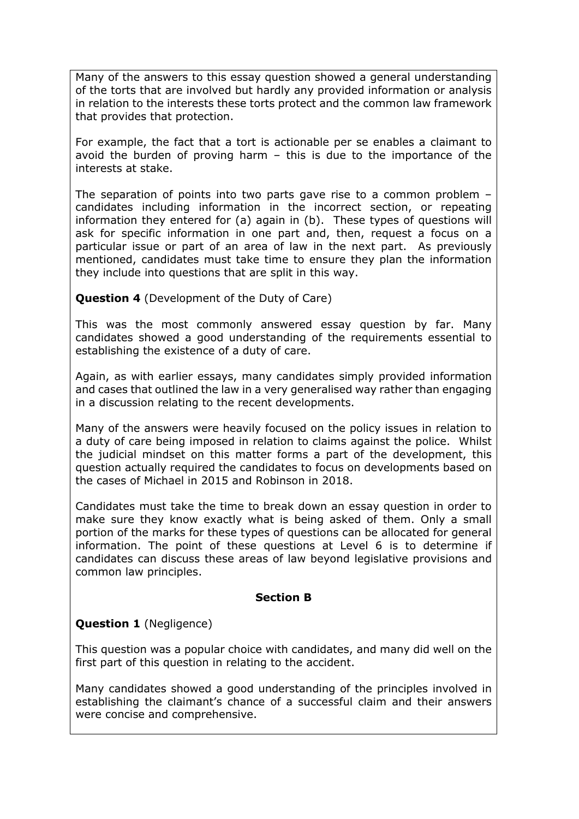Many of the answers to this essay question showed a general understanding of the torts that are involved but hardly any provided information or analysis in relation to the interests these torts protect and the common law framework that provides that protection.

For example, the fact that a tort is actionable per se enables a claimant to avoid the burden of proving harm – this is due to the importance of the interests at stake.

The separation of points into two parts gave rise to a common problem – candidates including information in the incorrect section, or repeating information they entered for (a) again in (b). These types of questions will ask for specific information in one part and, then, request a focus on a particular issue or part of an area of law in the next part. As previously mentioned, candidates must take time to ensure they plan the information they include into questions that are split in this way.

# **Question 4** (Development of the Duty of Care)

This was the most commonly answered essay question by far. Many candidates showed a good understanding of the requirements essential to establishing the existence of a duty of care.

Again, as with earlier essays, many candidates simply provided information and cases that outlined the law in a very generalised way rather than engaging in a discussion relating to the recent developments.

Many of the answers were heavily focused on the policy issues in relation to a duty of care being imposed in relation to claims against the police. Whilst the judicial mindset on this matter forms a part of the development, this question actually required the candidates to focus on developments based on the cases of Michael in 2015 and Robinson in 2018.

Candidates must take the time to break down an essay question in order to make sure they know exactly what is being asked of them. Only a small portion of the marks for these types of questions can be allocated for general information. The point of these questions at Level 6 is to determine if candidates can discuss these areas of law beyond legislative provisions and common law principles.

#### **Section B**

## **Question 1** (Negligence)

This question was a popular choice with candidates, and many did well on the first part of this question in relating to the accident.

Many candidates showed a good understanding of the principles involved in establishing the claimant's chance of a successful claim and their answers were concise and comprehensive.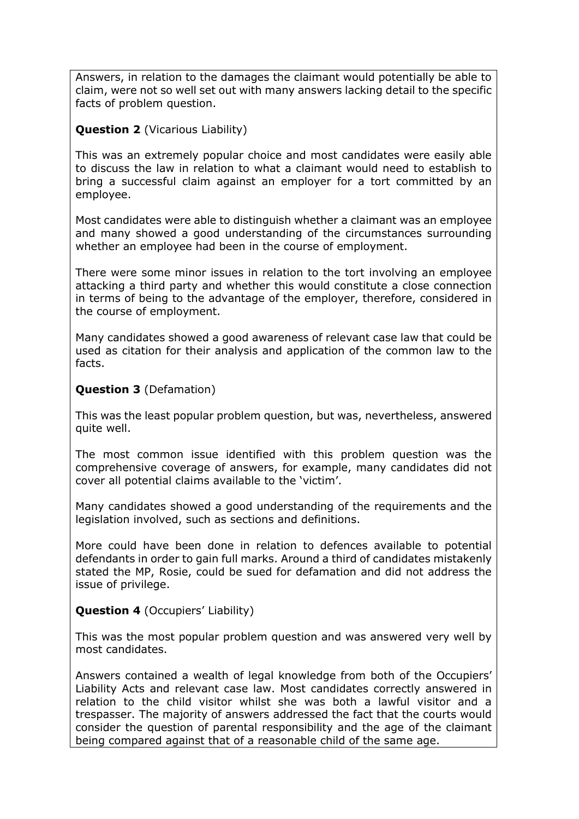Answers, in relation to the damages the claimant would potentially be able to claim, were not so well set out with many answers lacking detail to the specific facts of problem question.

## **Question 2** (Vicarious Liability)

This was an extremely popular choice and most candidates were easily able to discuss the law in relation to what a claimant would need to establish to bring a successful claim against an employer for a tort committed by an employee.

Most candidates were able to distinguish whether a claimant was an employee and many showed a good understanding of the circumstances surrounding whether an employee had been in the course of employment.

There were some minor issues in relation to the tort involving an employee attacking a third party and whether this would constitute a close connection in terms of being to the advantage of the employer, therefore, considered in the course of employment.

Many candidates showed a good awareness of relevant case law that could be used as citation for their analysis and application of the common law to the facts.

## **Question 3** (Defamation)

This was the least popular problem question, but was, nevertheless, answered quite well.

The most common issue identified with this problem question was the comprehensive coverage of answers, for example, many candidates did not cover all potential claims available to the 'victim'.

Many candidates showed a good understanding of the requirements and the legislation involved, such as sections and definitions.

More could have been done in relation to defences available to potential defendants in order to gain full marks. Around a third of candidates mistakenly stated the MP, Rosie, could be sued for defamation and did not address the issue of privilege.

## **Question 4** (Occupiers' Liability)

This was the most popular problem question and was answered very well by most candidates.

Answers contained a wealth of legal knowledge from both of the Occupiers' Liability Acts and relevant case law. Most candidates correctly answered in relation to the child visitor whilst she was both a lawful visitor and a trespasser. The majority of answers addressed the fact that the courts would consider the question of parental responsibility and the age of the claimant being compared against that of a reasonable child of the same age.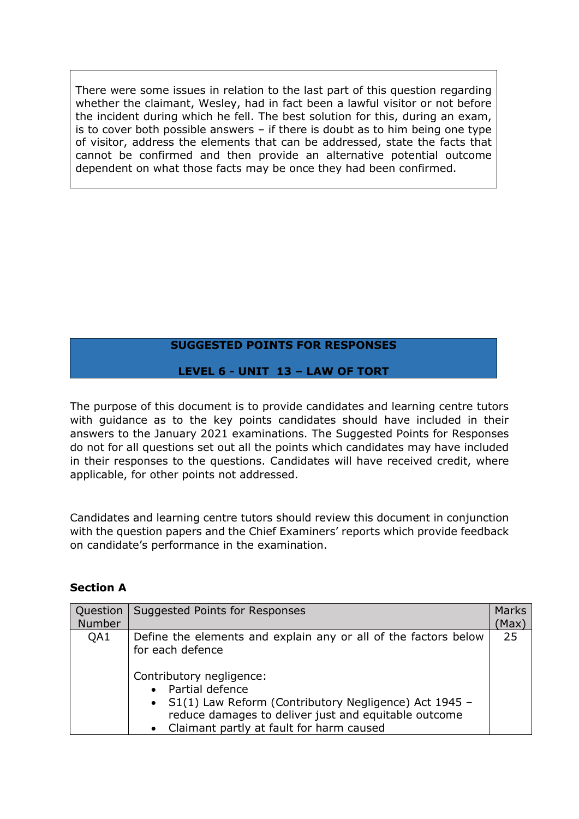There were some issues in relation to the last part of this question regarding whether the claimant, Wesley, had in fact been a lawful visitor or not before the incident during which he fell. The best solution for this, during an exam, is to cover both possible answers – if there is doubt as to him being one type of visitor, address the elements that can be addressed, state the facts that cannot be confirmed and then provide an alternative potential outcome dependent on what those facts may be once they had been confirmed.

# **SUGGESTED POINTS FOR RESPONSES**

# **LEVEL 6 - UNIT 13 – LAW OF TORT**

The purpose of this document is to provide candidates and learning centre tutors with guidance as to the key points candidates should have included in their answers to the January 2021 examinations. The Suggested Points for Responses do not for all questions set out all the points which candidates may have included in their responses to the questions. Candidates will have received credit, where applicable, for other points not addressed.

Candidates and learning centre tutors should review this document in conjunction with the question papers and the Chief Examiners' reports which provide feedback on candidate's performance in the examination.

| <b>Section A</b> |  |
|------------------|--|
|------------------|--|

| Question<br>Number | Suggested Points for Responses                                                                                                                                                                                                                                                                        | <b>Marks</b><br>(Max) |
|--------------------|-------------------------------------------------------------------------------------------------------------------------------------------------------------------------------------------------------------------------------------------------------------------------------------------------------|-----------------------|
| QA1                | Define the elements and explain any or all of the factors below<br>for each defence<br>Contributory negligence:<br>• Partial defence<br>• S1(1) Law Reform (Contributory Negligence) Act 1945 -<br>reduce damages to deliver just and equitable outcome<br>• Claimant partly at fault for harm caused | 25                    |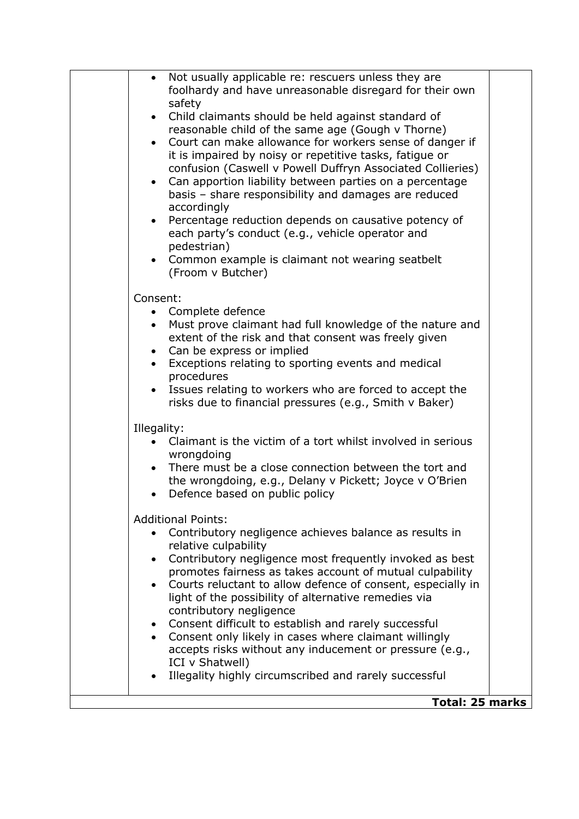| Not usually applicable re: rescuers unless they are<br>$\bullet$<br>foolhardy and have unreasonable disregard for their own<br>safety<br>Child claimants should be held against standard of<br>$\bullet$<br>reasonable child of the same age (Gough v Thorne)<br>• Court can make allowance for workers sense of danger if<br>it is impaired by noisy or repetitive tasks, fatigue or<br>confusion (Caswell v Powell Duffryn Associated Collieries)<br>Can apportion liability between parties on a percentage<br>$\bullet$<br>basis - share responsibility and damages are reduced<br>accordingly<br>Percentage reduction depends on causative potency of<br>$\bullet$<br>each party's conduct (e.g., vehicle operator and<br>pedestrian)<br>• Common example is claimant not wearing seatbelt<br>(Froom v Butcher) |  |
|----------------------------------------------------------------------------------------------------------------------------------------------------------------------------------------------------------------------------------------------------------------------------------------------------------------------------------------------------------------------------------------------------------------------------------------------------------------------------------------------------------------------------------------------------------------------------------------------------------------------------------------------------------------------------------------------------------------------------------------------------------------------------------------------------------------------|--|
| Consent:<br>• Complete defence<br>Must prove claimant had full knowledge of the nature and<br>$\bullet$<br>extent of the risk and that consent was freely given<br>• Can be express or implied<br>Exceptions relating to sporting events and medical<br>$\bullet$<br>procedures<br>Issues relating to workers who are forced to accept the<br>$\bullet$<br>risks due to financial pressures (e.g., Smith v Baker)                                                                                                                                                                                                                                                                                                                                                                                                    |  |
| Illegality:<br>Claimant is the victim of a tort whilst involved in serious<br>wrongdoing<br>There must be a close connection between the tort and<br>$\bullet$<br>the wrongdoing, e.g., Delany v Pickett; Joyce v O'Brien<br>Defence based on public policy<br>$\bullet$                                                                                                                                                                                                                                                                                                                                                                                                                                                                                                                                             |  |
| <b>Additional Points:</b><br>Contributory negligence achieves balance as results in<br>relative culpability<br>Contributory negligence most frequently invoked as best<br>$\bullet$<br>promotes fairness as takes account of mutual culpability<br>Courts reluctant to allow defence of consent, especially in<br>$\bullet$<br>light of the possibility of alternative remedies via<br>contributory negligence<br>Consent difficult to establish and rarely successful<br>$\bullet$<br>• Consent only likely in cases where claimant willingly<br>accepts risks without any inducement or pressure (e.g.,<br>ICI v Shatwell)<br>Illegality highly circumscribed and rarely successful                                                                                                                                |  |
| <b>Total: 25 marks</b>                                                                                                                                                                                                                                                                                                                                                                                                                                                                                                                                                                                                                                                                                                                                                                                               |  |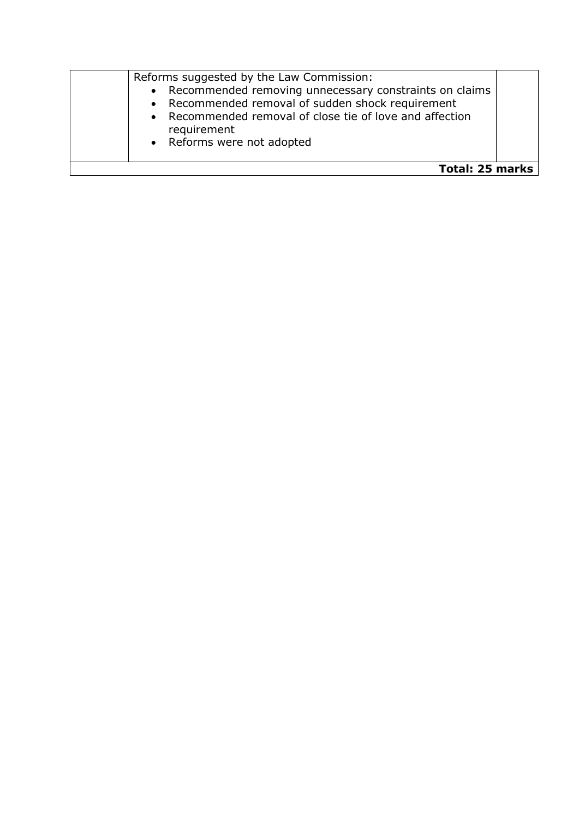| Reforms suggested by the Law Commission:<br>• Recommended removing unnecessary constraints on claims<br>• Recommended removal of sudden shock requirement<br>• Recommended removal of close tie of love and affection<br>requirement<br>• Reforms were not adopted |  |
|--------------------------------------------------------------------------------------------------------------------------------------------------------------------------------------------------------------------------------------------------------------------|--|
| Total: 25 marks                                                                                                                                                                                                                                                    |  |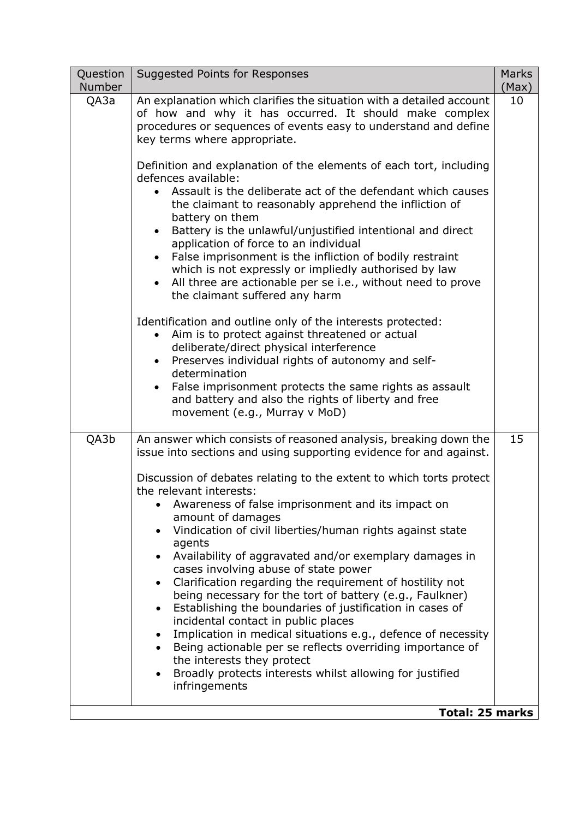| Question<br>Number | Suggested Points for Responses                                                                                                                                                                                                                                                                                                                                                                                                                                                                                                                                                                                                                                                                                                                                                                                                                                                                                                                                                                                                                                                                                                                                                         | <b>Marks</b><br>(Max) |
|--------------------|----------------------------------------------------------------------------------------------------------------------------------------------------------------------------------------------------------------------------------------------------------------------------------------------------------------------------------------------------------------------------------------------------------------------------------------------------------------------------------------------------------------------------------------------------------------------------------------------------------------------------------------------------------------------------------------------------------------------------------------------------------------------------------------------------------------------------------------------------------------------------------------------------------------------------------------------------------------------------------------------------------------------------------------------------------------------------------------------------------------------------------------------------------------------------------------|-----------------------|
| QA3a               | An explanation which clarifies the situation with a detailed account<br>of how and why it has occurred. It should make complex<br>procedures or sequences of events easy to understand and define<br>key terms where appropriate.<br>Definition and explanation of the elements of each tort, including<br>defences available:<br>• Assault is the deliberate act of the defendant which causes<br>the claimant to reasonably apprehend the infliction of<br>battery on them<br>Battery is the unlawful/unjustified intentional and direct<br>$\bullet$<br>application of force to an individual<br>False imprisonment is the infliction of bodily restraint<br>which is not expressly or impliedly authorised by law<br>All three are actionable per se i.e., without need to prove<br>$\bullet$<br>the claimant suffered any harm<br>Identification and outline only of the interests protected:<br>Aim is to protect against threatened or actual<br>deliberate/direct physical interference<br>Preserves individual rights of autonomy and self-<br>determination<br>False imprisonment protects the same rights as assault<br>and battery and also the rights of liberty and free | 10                    |
| QA3b               | movement (e.g., Murray v MoD)<br>An answer which consists of reasoned analysis, breaking down the<br>issue into sections and using supporting evidence for and against.<br>Discussion of debates relating to the extent to which torts protect<br>the relevant interests:<br>Awareness of false imprisonment and its impact on<br>amount of damages<br>Vindication of civil liberties/human rights against state<br>agents<br>Availability of aggravated and/or exemplary damages in<br>$\bullet$<br>cases involving abuse of state power<br>Clarification regarding the requirement of hostility not<br>$\bullet$<br>being necessary for the tort of battery (e.g., Faulkner)<br>Establishing the boundaries of justification in cases of<br>$\bullet$<br>incidental contact in public places<br>Implication in medical situations e.g., defence of necessity<br>Being actionable per se reflects overriding importance of<br>the interests they protect<br>Broadly protects interests whilst allowing for justified<br>$\bullet$<br>infringements<br><b>Total: 25 marks</b>                                                                                                          | 15                    |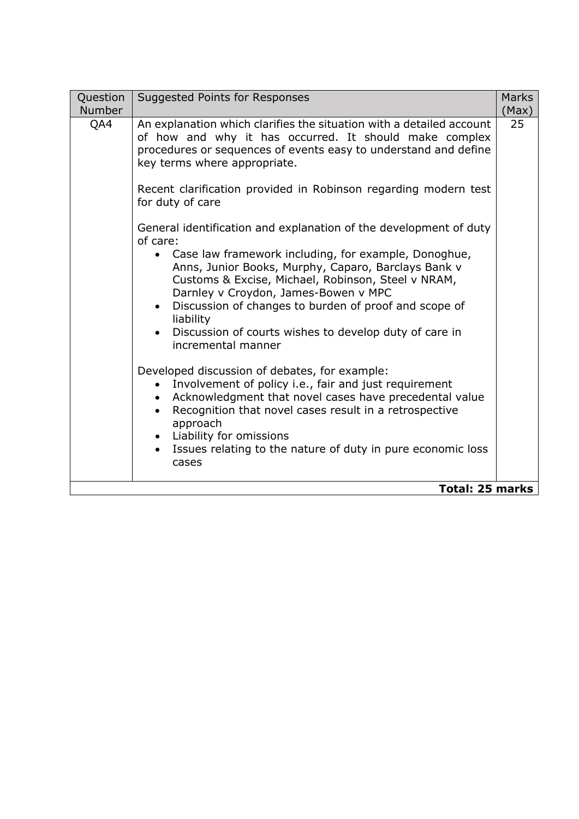| 25<br>QA4<br>An explanation which clarifies the situation with a detailed account<br>of how and why it has occurred. It should make complex<br>procedures or sequences of events easy to understand and define<br>key terms where appropriate.<br>Recent clarification provided in Robinson regarding modern test<br>for duty of care                                                                                                                                                                                                                                                                                                                                                                                                                                                                                                             | Question<br><b>Number</b> | Suggested Points for Responses | <b>Marks</b><br>(Max) |
|---------------------------------------------------------------------------------------------------------------------------------------------------------------------------------------------------------------------------------------------------------------------------------------------------------------------------------------------------------------------------------------------------------------------------------------------------------------------------------------------------------------------------------------------------------------------------------------------------------------------------------------------------------------------------------------------------------------------------------------------------------------------------------------------------------------------------------------------------|---------------------------|--------------------------------|-----------------------|
| General identification and explanation of the development of duty<br>of care:<br>Case law framework including, for example, Donoghue,<br>Anns, Junior Books, Murphy, Caparo, Barclays Bank v<br>Customs & Excise, Michael, Robinson, Steel v NRAM,<br>Darnley v Croydon, James-Bowen v MPC<br>Discussion of changes to burden of proof and scope of<br>$\bullet$<br>liability<br>Discussion of courts wishes to develop duty of care in<br>incremental manner<br>Developed discussion of debates, for example:<br>Involvement of policy i.e., fair and just requirement<br>$\bullet$<br>Acknowledgment that novel cases have precedental value<br>Recognition that novel cases result in a retrospective<br>approach<br>Liability for omissions<br>Issues relating to the nature of duty in pure economic loss<br>cases<br><b>Total: 25 marks</b> |                           |                                |                       |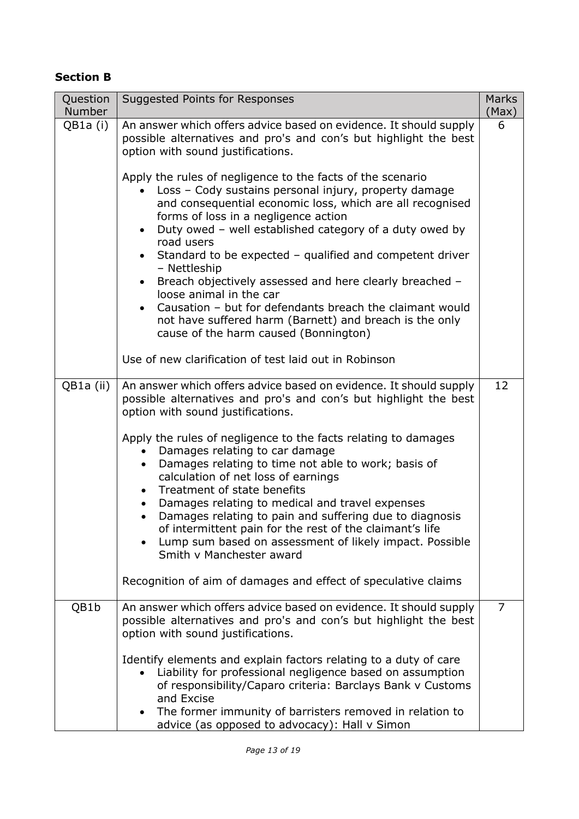# **Section B**

| Question<br><b>Number</b> | Suggested Points for Responses                                                                                                                                                                                                                                                                                                                                                                                                                                                                                                                                                                                                                                                                                                                                                                                                                                                                                                 | <b>Marks</b><br>(Max) |
|---------------------------|--------------------------------------------------------------------------------------------------------------------------------------------------------------------------------------------------------------------------------------------------------------------------------------------------------------------------------------------------------------------------------------------------------------------------------------------------------------------------------------------------------------------------------------------------------------------------------------------------------------------------------------------------------------------------------------------------------------------------------------------------------------------------------------------------------------------------------------------------------------------------------------------------------------------------------|-----------------------|
| QB1a (i)                  | An answer which offers advice based on evidence. It should supply<br>possible alternatives and pro's and con's but highlight the best<br>option with sound justifications.<br>Apply the rules of negligence to the facts of the scenario<br>Loss - Cody sustains personal injury, property damage<br>and consequential economic loss, which are all recognised<br>forms of loss in a negligence action<br>Duty owed - well established category of a duty owed by<br>$\bullet$<br>road users<br>Standard to be expected - qualified and competent driver<br>$\bullet$<br>- Nettleship<br>Breach objectively assessed and here clearly breached -<br>$\bullet$<br>loose animal in the car<br>Causation - but for defendants breach the claimant would<br>$\bullet$<br>not have suffered harm (Barnett) and breach is the only<br>cause of the harm caused (Bonnington)<br>Use of new clarification of test laid out in Robinson | 6                     |
| QB1a (ii)                 | An answer which offers advice based on evidence. It should supply<br>possible alternatives and pro's and con's but highlight the best<br>option with sound justifications.<br>Apply the rules of negligence to the facts relating to damages<br>Damages relating to car damage<br>$\bullet$<br>Damages relating to time not able to work; basis of<br>$\bullet$<br>calculation of net loss of earnings<br>• Treatment of state benefits<br>Damages relating to medical and travel expenses<br>$\bullet$<br>Damages relating to pain and suffering due to diagnosis<br>$\bullet$<br>of intermittent pain for the rest of the claimant's life<br>Lump sum based on assessment of likely impact. Possible<br>Smith v Manchester award<br>Recognition of aim of damages and effect of speculative claims                                                                                                                           | 12                    |
| QB1b                      | An answer which offers advice based on evidence. It should supply<br>possible alternatives and pro's and con's but highlight the best<br>option with sound justifications.<br>Identify elements and explain factors relating to a duty of care<br>Liability for professional negligence based on assumption<br>of responsibility/Caparo criteria: Barclays Bank v Customs<br>and Excise<br>The former immunity of barristers removed in relation to<br>advice (as opposed to advocacy): Hall v Simon                                                                                                                                                                                                                                                                                                                                                                                                                           | 7                     |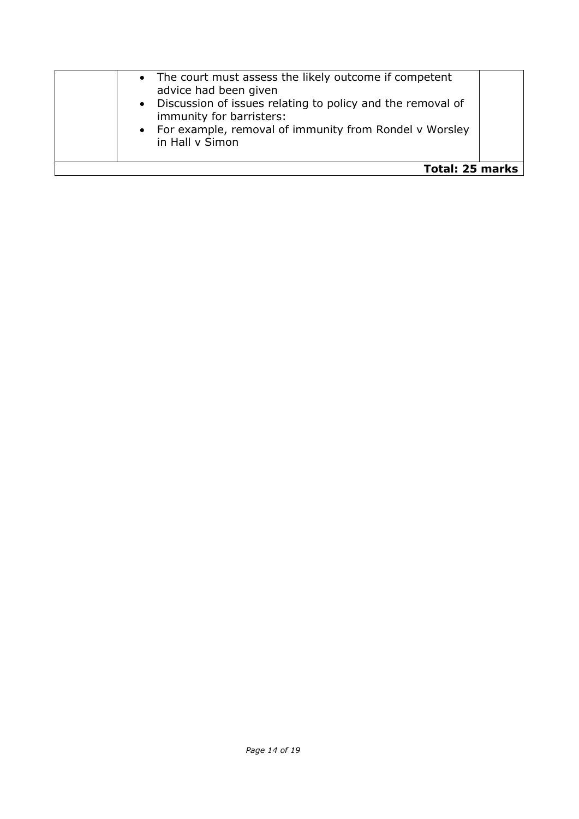|                        | • The court must assess the likely outcome if competent<br>advice had been given<br>• Discussion of issues relating to policy and the removal of<br>immunity for barristers:<br>• For example, removal of immunity from Rondel v Worsley<br>in Hall v Simon |  |
|------------------------|-------------------------------------------------------------------------------------------------------------------------------------------------------------------------------------------------------------------------------------------------------------|--|
| <b>Total: 25 marks</b> |                                                                                                                                                                                                                                                             |  |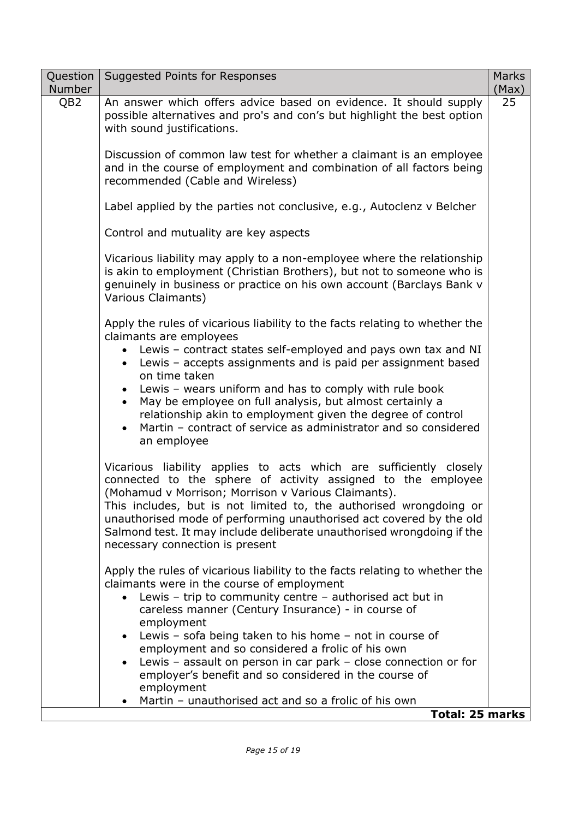| Question<br><b>Number</b> | Suggested Points for Responses                                                                                                                                                                                                                                                                                                                                                                                                                      | <b>Marks</b><br>(Max) |
|---------------------------|-----------------------------------------------------------------------------------------------------------------------------------------------------------------------------------------------------------------------------------------------------------------------------------------------------------------------------------------------------------------------------------------------------------------------------------------------------|-----------------------|
| QB <sub>2</sub>           | An answer which offers advice based on evidence. It should supply<br>possible alternatives and pro's and con's but highlight the best option<br>with sound justifications.                                                                                                                                                                                                                                                                          | 25                    |
|                           | Discussion of common law test for whether a claimant is an employee<br>and in the course of employment and combination of all factors being<br>recommended (Cable and Wireless)                                                                                                                                                                                                                                                                     |                       |
|                           | Label applied by the parties not conclusive, e.g., Autoclenz v Belcher                                                                                                                                                                                                                                                                                                                                                                              |                       |
|                           | Control and mutuality are key aspects                                                                                                                                                                                                                                                                                                                                                                                                               |                       |
|                           | Vicarious liability may apply to a non-employee where the relationship<br>is akin to employment (Christian Brothers), but not to someone who is<br>genuinely in business or practice on his own account (Barclays Bank v<br>Various Claimants)                                                                                                                                                                                                      |                       |
|                           | Apply the rules of vicarious liability to the facts relating to whether the<br>claimants are employees                                                                                                                                                                                                                                                                                                                                              |                       |
|                           | Lewis - contract states self-employed and pays own tax and NI<br>Lewis - accepts assignments and is paid per assignment based<br>$\bullet$<br>on time taken                                                                                                                                                                                                                                                                                         |                       |
|                           | Lewis - wears uniform and has to comply with rule book<br>May be employee on full analysis, but almost certainly a<br>$\bullet$<br>relationship akin to employment given the degree of control<br>Martin - contract of service as administrator and so considered<br>$\bullet$<br>an employee                                                                                                                                                       |                       |
|                           | Vicarious liability applies to acts which are sufficiently closely<br>connected to the sphere of activity assigned to the employee<br>(Mohamud v Morrison; Morrison v Various Claimants).<br>This includes, but is not limited to, the authorised wrongdoing or<br>unauthorised mode of performing unauthorised act covered by the old<br>Salmond test. It may include deliberate unauthorised wrongdoing if the<br>necessary connection is present |                       |
|                           | Apply the rules of vicarious liability to the facts relating to whether the<br>claimants were in the course of employment<br>Lewis – trip to community centre – authorised act but in<br>careless manner (Century Insurance) - in course of<br>employment                                                                                                                                                                                           |                       |
|                           | Lewis - sofa being taken to his home - not in course of<br>$\bullet$<br>employment and so considered a frolic of his own                                                                                                                                                                                                                                                                                                                            |                       |
|                           | Lewis - assault on person in car park - close connection or for<br>$\bullet$<br>employer's benefit and so considered in the course of                                                                                                                                                                                                                                                                                                               |                       |
|                           | employment<br>Martin - unauthorised act and so a frolic of his own                                                                                                                                                                                                                                                                                                                                                                                  |                       |
|                           | <b>Total: 25 marks</b>                                                                                                                                                                                                                                                                                                                                                                                                                              |                       |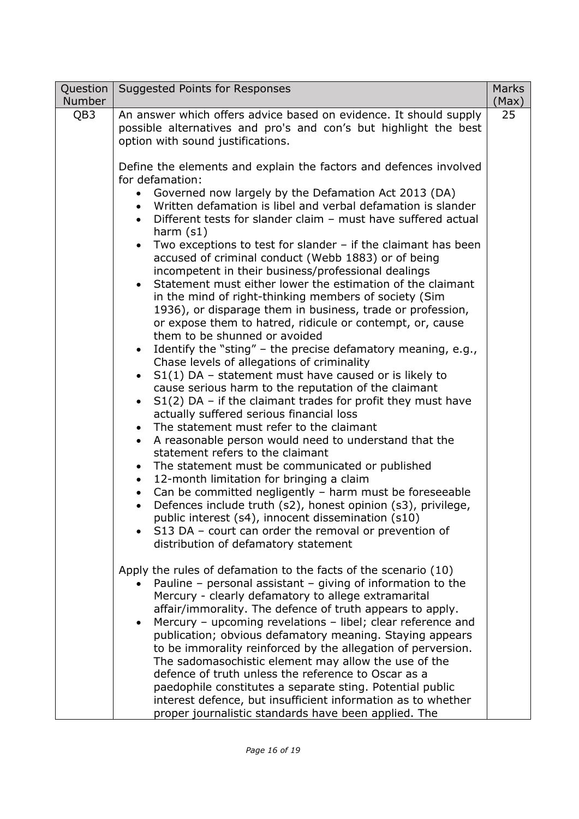| Question<br>Number | Suggested Points for Responses                                                                                                                                                                                                                                                                                                                                                                                                                                                                                                                                                                                                                                                                                                                                                                                                                                                                                                                                                      | <b>Marks</b><br>(Max) |
|--------------------|-------------------------------------------------------------------------------------------------------------------------------------------------------------------------------------------------------------------------------------------------------------------------------------------------------------------------------------------------------------------------------------------------------------------------------------------------------------------------------------------------------------------------------------------------------------------------------------------------------------------------------------------------------------------------------------------------------------------------------------------------------------------------------------------------------------------------------------------------------------------------------------------------------------------------------------------------------------------------------------|-----------------------|
| QB3                | An answer which offers advice based on evidence. It should supply<br>possible alternatives and pro's and con's but highlight the best<br>option with sound justifications.<br>Define the elements and explain the factors and defences involved<br>for defamation:<br>Governed now largely by the Defamation Act 2013 (DA)<br>$\bullet$<br>Written defamation is libel and verbal defamation is slander<br>Different tests for slander claim - must have suffered actual<br>harm $(s1)$<br>Two exceptions to test for slander $-$ if the claimant has been<br>$\bullet$<br>accused of criminal conduct (Webb 1883) or of being<br>incompetent in their business/professional dealings<br>Statement must either lower the estimation of the claimant<br>in the mind of right-thinking members of society (Sim<br>1936), or disparage them in business, trade or profession,<br>or expose them to hatred, ridicule or contempt, or, cause                                             | 25                    |
|                    | them to be shunned or avoided<br>Identify the "sting" - the precise defamatory meaning, e.g.,<br>$\bullet$<br>Chase levels of allegations of criminality<br>$S1(1)$ DA - statement must have caused or is likely to<br>cause serious harm to the reputation of the claimant<br>$S1(2)$ DA – if the claimant trades for profit they must have<br>actually suffered serious financial loss<br>The statement must refer to the claimant<br>A reasonable person would need to understand that the<br>$\bullet$<br>statement refers to the claimant<br>The statement must be communicated or published<br>$\bullet$<br>12-month limitation for bringing a claim<br>$\bullet$<br>Can be committed negligently - harm must be foreseeable<br>$\bullet$<br>Defences include truth (s2), honest opinion (s3), privilege,<br>$\bullet$<br>public interest (s4), innocent dissemination (s10)<br>S13 DA - court can order the removal or prevention of<br>distribution of defamatory statement |                       |
|                    | Apply the rules of defamation to the facts of the scenario (10)<br>Pauline – personal assistant – giving of information to the<br>Mercury - clearly defamatory to allege extramarital<br>affair/immorality. The defence of truth appears to apply.<br>Mercury - upcoming revelations - libel; clear reference and<br>publication; obvious defamatory meaning. Staying appears<br>to be immorality reinforced by the allegation of perversion.<br>The sadomasochistic element may allow the use of the<br>defence of truth unless the reference to Oscar as a<br>paedophile constitutes a separate sting. Potential public<br>interest defence, but insufficient information as to whether<br>proper journalistic standards have been applied. The                                                                                                                                                                                                                                   |                       |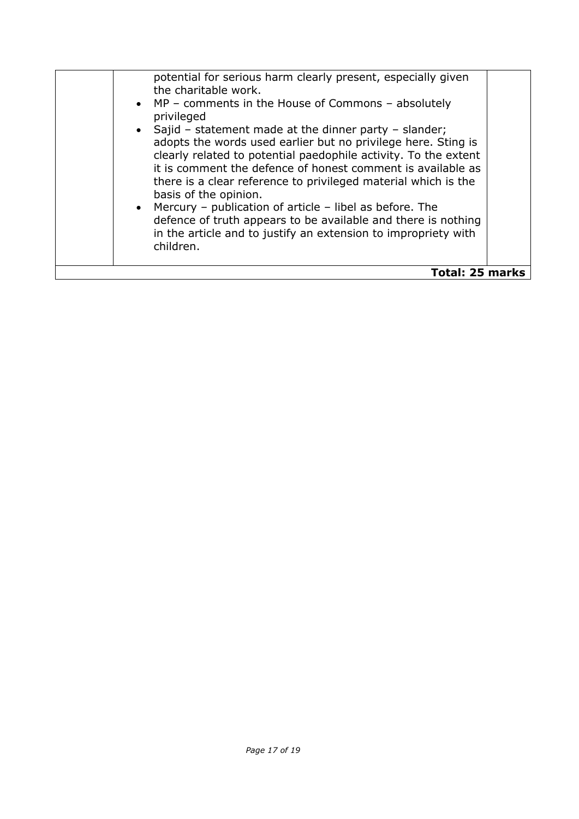| potential for serious harm clearly present, especially given<br>the charitable work.<br>• MP – comments in the House of Commons – absolutely<br>privileged<br>• Sajid – statement made at the dinner party – slander;<br>adopts the words used earlier but no privilege here. Sting is<br>clearly related to potential paedophile activity. To the extent<br>it is comment the defence of honest comment is available as<br>there is a clear reference to privileged material which is the<br>basis of the opinion.<br>• Mercury – publication of article – libel as before. The<br>defence of truth appears to be available and there is nothing<br>in the article and to justify an extension to impropriety with<br>children. |  |
|----------------------------------------------------------------------------------------------------------------------------------------------------------------------------------------------------------------------------------------------------------------------------------------------------------------------------------------------------------------------------------------------------------------------------------------------------------------------------------------------------------------------------------------------------------------------------------------------------------------------------------------------------------------------------------------------------------------------------------|--|
| Total: 25 marks                                                                                                                                                                                                                                                                                                                                                                                                                                                                                                                                                                                                                                                                                                                  |  |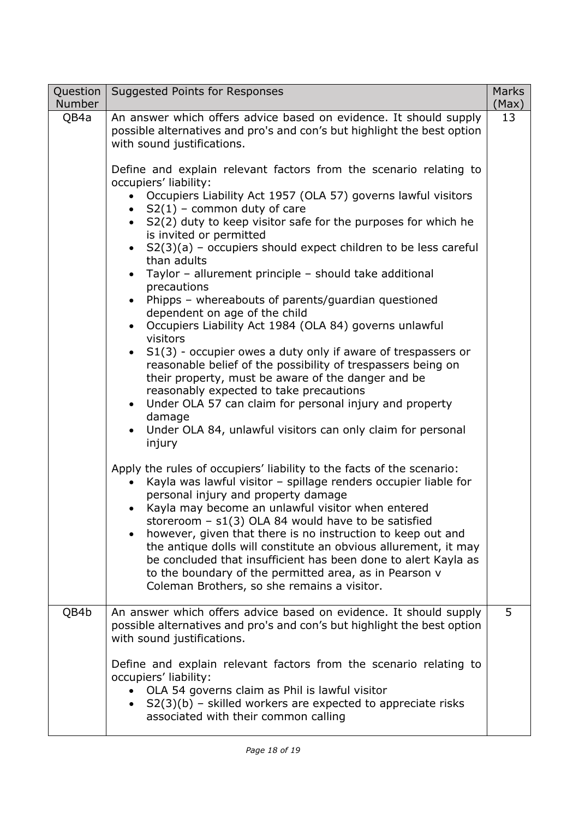| Question  <br><b>Number</b> | Suggested Points for Responses                                                                                                                                                                                                                                                                                                                                                                                                                                                                                                                                                                                                                                                                                                                                                                                                                                                                                                                                                                                                                                                                                                                                                                                                            | <b>Marks</b><br>(Max) |
|-----------------------------|-------------------------------------------------------------------------------------------------------------------------------------------------------------------------------------------------------------------------------------------------------------------------------------------------------------------------------------------------------------------------------------------------------------------------------------------------------------------------------------------------------------------------------------------------------------------------------------------------------------------------------------------------------------------------------------------------------------------------------------------------------------------------------------------------------------------------------------------------------------------------------------------------------------------------------------------------------------------------------------------------------------------------------------------------------------------------------------------------------------------------------------------------------------------------------------------------------------------------------------------|-----------------------|
| QB4a                        | An answer which offers advice based on evidence. It should supply<br>possible alternatives and pro's and con's but highlight the best option<br>with sound justifications.<br>Define and explain relevant factors from the scenario relating to<br>occupiers' liability:<br>Occupiers Liability Act 1957 (OLA 57) governs lawful visitors<br>• $S2(1)$ – common duty of care<br>• S2(2) duty to keep visitor safe for the purposes for which he<br>is invited or permitted<br>$S2(3)(a)$ – occupiers should expect children to be less careful<br>$\bullet$<br>than adults<br>• Taylor - allurement principle - should take additional<br>precautions<br>Phipps - whereabouts of parents/guardian questioned<br>$\bullet$<br>dependent on age of the child<br>Occupiers Liability Act 1984 (OLA 84) governs unlawful<br>visitors<br>S1(3) - occupier owes a duty only if aware of trespassers or<br>$\bullet$<br>reasonable belief of the possibility of trespassers being on<br>their property, must be aware of the danger and be<br>reasonably expected to take precautions<br>Under OLA 57 can claim for personal injury and property<br>$\bullet$<br>damage<br>Under OLA 84, unlawful visitors can only claim for personal<br>injury | 13                    |
|                             | Apply the rules of occupiers' liability to the facts of the scenario:<br>Kayla was lawful visitor - spillage renders occupier liable for<br>personal injury and property damage<br>Kayla may become an unlawful visitor when entered<br>storeroom $-$ s1(3) OLA 84 would have to be satisfied<br>however, given that there is no instruction to keep out and<br>$\bullet$<br>the antique dolls will constitute an obvious allurement, it may<br>be concluded that insufficient has been done to alert Kayla as<br>to the boundary of the permitted area, as in Pearson v<br>Coleman Brothers, so she remains a visitor.                                                                                                                                                                                                                                                                                                                                                                                                                                                                                                                                                                                                                   |                       |
| QB4b                        | An answer which offers advice based on evidence. It should supply<br>possible alternatives and pro's and con's but highlight the best option<br>with sound justifications.<br>Define and explain relevant factors from the scenario relating to<br>occupiers' liability:<br>OLA 54 governs claim as Phil is lawful visitor<br>$S2(3)(b)$ – skilled workers are expected to appreciate risks<br>associated with their common calling                                                                                                                                                                                                                                                                                                                                                                                                                                                                                                                                                                                                                                                                                                                                                                                                       | 5                     |